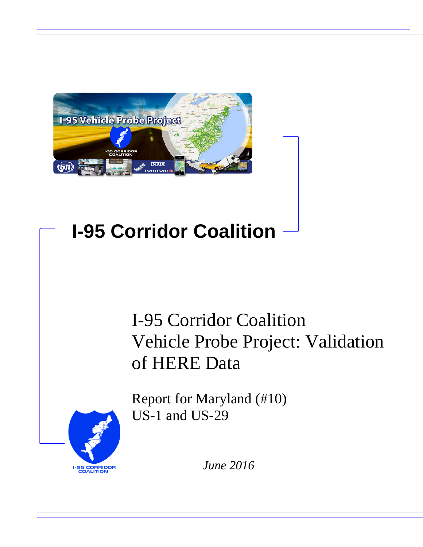

# **I-95 Corridor Coalition**

# I-95 Corridor Coalition Vehicle Probe Project: Validation of HERE Data

Report for Maryland (#10) US-1 and US-29



*June 2016*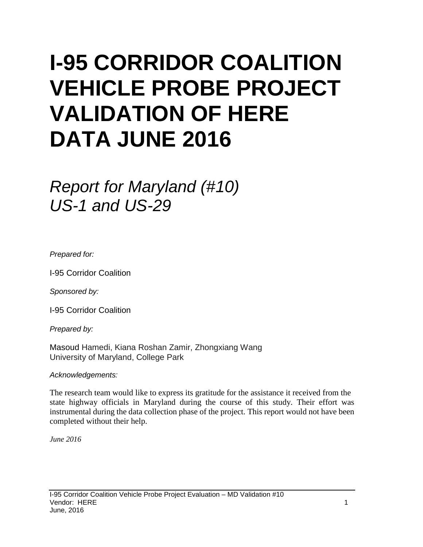# **I-95 CORRIDOR COALITION VEHICLE PROBE PROJECT VALIDATION OF HERE DATA JUNE 2016**

# *Report for Maryland (#10) US-1 and US-29*

*Prepared for:*

I-95 Corridor Coalition

*Sponsored by:*

I-95 Corridor Coalition

*Prepared by:*

Masoud Hamedi, Kiana Roshan Zamir, Zhongxiang Wang University of Maryland, College Park

*Acknowledgements:*

The research team would like to express its gratitude for the assistance it received from the state highway officials in Maryland during the course of this study. Their effort was instrumental during the data collection phase of the project. This report would not have been completed without their help.

*June 2016*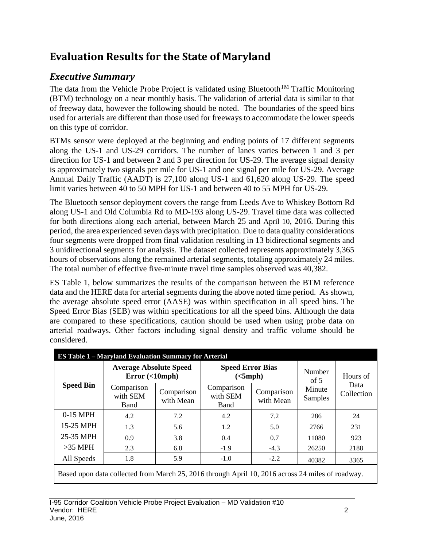## **Evaluation Results for the State of Maryland**

## *Executive Summary*

The data from the Vehicle Probe Project is validated using Bluetooth<sup>TM</sup> Traffic Monitoring (BTM) technology on a near monthly basis. The validation of arterial data is similar to that of freeway data, however the following should be noted. The boundaries of the speed bins used for arterials are different than those used for freeways to accommodate the lower speeds on this type of corridor.

BTMs sensor were deployed at the beginning and ending points of 17 different segments along the US-1 and US-29 corridors. The number of lanes varies between 1 and 3 per direction for US-1 and between 2 and 3 per direction for US-29. The average signal density is approximately two signals per mile for US-1 and one signal per mile for US-29. Average Annual Daily Traffic (AADT) is 27,100 along US-1 and 61,620 along US-29. The speed limit varies between 40 to 50 MPH for US-1 and between 40 to 55 MPH for US-29.

The Bluetooth sensor deployment covers the range from Leeds Ave to Whiskey Bottom Rd along US-1 and Old Columbia Rd to MD-193 along US-29. Travel time data was collected for both directions along each arterial, between March 25 and April 10, 2016. During this period, the area experienced seven days with precipitation. Due to data quality considerations four segments were dropped from final validation resulting in 13 bidirectional segments and 3 unidirectional segments for analysis. The dataset collected represents approximately 3,365 hours of observations along the remained arterial segments, totaling approximately 24 miles. The total number of effective five-minute travel time samples observed was 40,382.

ES Table 1, below summarizes the results of the comparison between the BTM reference data and the HERE data for arterial segments during the above noted time period. As shown, the average absolute speed error (AASE) was within specification in all speed bins. The Speed Error Bias (SEB) was within specifications for all the speed bins. Although the data are compared to these specifications, caution should be used when using probe data on arterial roadways. Other factors including signal density and traffic volume should be considered.

|                  | <b>ES Table 1 - Maryland Evaluation Summary for Arterial</b>                                     |                         |                                     |                         |                                                                                                                                 |          |  |  |  |  |
|------------------|--------------------------------------------------------------------------------------------------|-------------------------|-------------------------------------|-------------------------|---------------------------------------------------------------------------------------------------------------------------------|----------|--|--|--|--|
|                  | <b>Average Absolute Speed</b><br>Error(<10                                                       |                         | <b>Speed Error Bias</b><br>(<5 mph) |                         | Number                                                                                                                          | Hours of |  |  |  |  |
| <b>Speed Bin</b> | Comparison<br>with SEM<br>Band                                                                   | Comparison<br>with Mean | Comparison<br>with SEM<br>Band      | Comparison<br>with Mean | of $5$<br>Data<br>Minute<br>Collection<br>Samples<br>286<br>24<br>231<br>2766<br>923<br>11080<br>26250<br>2188<br>40382<br>3365 |          |  |  |  |  |
| $0-15$ MPH       | 4.2                                                                                              | 7.2                     | 4.2                                 | 7.2                     |                                                                                                                                 |          |  |  |  |  |
| 15-25 MPH        | 1.3                                                                                              | 5.6                     | 1.2                                 | 5.0                     |                                                                                                                                 |          |  |  |  |  |
| 25-35 MPH        | 0.9                                                                                              | 3.8                     | 0.4                                 | 0.7                     |                                                                                                                                 |          |  |  |  |  |
| $>35$ MPH        | 2.3                                                                                              | 6.8                     | $-1.9$                              | $-4.3$                  |                                                                                                                                 |          |  |  |  |  |
| All Speeds       | 1.8                                                                                              | 5.9                     | $-1.0$                              | $-2.2$                  |                                                                                                                                 |          |  |  |  |  |
|                  | Based upon data collected from March 25, 2016 through April 10, 2016 across 24 miles of roadway. |                         |                                     |                         |                                                                                                                                 |          |  |  |  |  |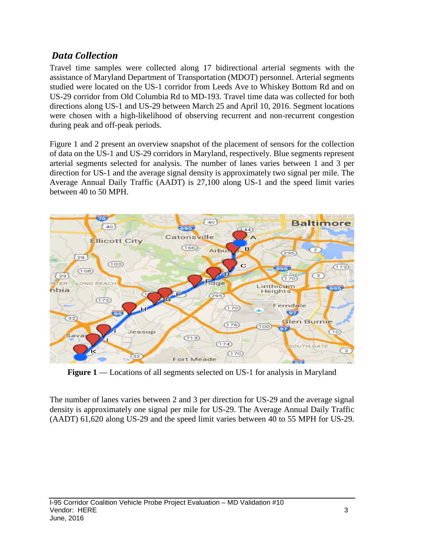### *Data Collection*

Travel time samples were collected along 17 bidirectional arterial segments with the assistance of Maryland Department of Transportation (MDOT) personnel. Arterial segments studied were located on the US-1 corridor from Leeds Ave to Whiskey Bottom Rd and on US-29 corridor from Old Columbia Rd to MD-193. Travel time data was collected for both directions along US-1 and US-29 between March 25 and April 10, 2016. Segment locations were chosen with a high-likelihood of observing recurrent and non-recurrent congestion during peak and off-peak periods.

Figure 1 and 2 present an overview snapshot of the placement of sensors for the collection of data on the US-1 and US-29 corridors in Maryland, respectively. Blue segments represent arterial segments selected for analysis. The number of lanes varies between 1 and 3 per direction for US-1 and the average signal density is approximately two signal per mile. The Average Annual Daily Traffic (AADT) is 27,100 along US-1 and the speed limit varies between 40 to 50 MPH.



**Figure 1** –– Locations of all segments selected on US-1 for analysis in Maryland

The number of lanes varies between 2 and 3 per direction for US-29 and the average signal density is approximately one signal per mile for US-29. The Average Annual Daily Traffic (AADT) 61,620 along US-29 and the speed limit varies between 40 to 55 MPH for US-29.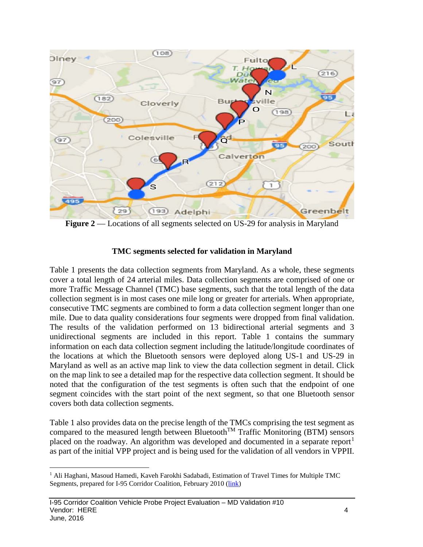

**Figure 2** –– Locations of all segments selected on US-29 for analysis in Maryland

#### **TMC segments selected for validation in Maryland**

Table 1 presents the data collection segments from Maryland. As a whole, these segments cover a total length of 24 arterial miles. Data collection segments are comprised of one or more Traffic Message Channel (TMC) base segments, such that the total length of the data collection segment is in most cases one mile long or greater for arterials. When appropriate, consecutive TMC segments are combined to form a data collection segment longer than one mile. Due to data quality considerations four segments were dropped from final validation. The results of the validation performed on 13 bidirectional arterial segments and 3 unidirectional segments are included in this report. Table 1 contains the summary information on each data collection segment including the latitude/longitude coordinates of the locations at which the Bluetooth sensors were deployed along US-1 and US-29 in Maryland as well as an active map link to view the data collection segment in detail. Click on the map link to see a detailed map for the respective data collection segment. It should be noted that the configuration of the test segments is often such that the endpoint of one segment coincides with the start point of the next segment, so that one Bluetooth sensor covers both data collection segments.

Table 1 also provides data on the precise length of the TMCs comprising the test segment as compared to the measured length between Bluetooth<sup>TM</sup> Traffic Monitoring (BTM) sensors placed on the roadway. An algorithm was developed and documented in a separate report<sup>[1](#page-4-0)</sup> as part of the initial VPP project and is being used for the validation of all vendors in VPPII.

<span id="page-4-0"></span><sup>&</sup>lt;sup>1</sup> Ali Haghani, Masoud Hamedi, Kaveh Farokhi Sadabadi, Estimation of Travel Times for Multiple TMC Segments, prepared for I-95 Corridor Coalition, February 2010 [\(link\)](http://www.i95coalition.org/wp-content/uploads/2015/02/I-95-CC-Estimation-of-Travel-Times-for-Multiple-TMC-Segments-FINAL2.pdf)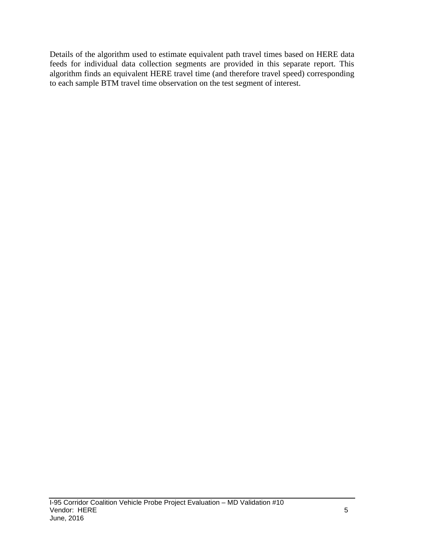Details of the algorithm used to estimate equivalent path travel times based on HERE data feeds for individual data collection segments are provided in this separate report. This algorithm finds an equivalent HERE travel time (and therefore travel speed) corresponding to each sample BTM travel time observation on the test segment of interest.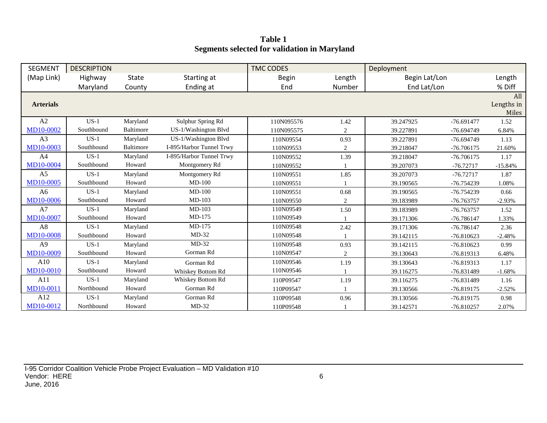**Table 1 Segments selected for validation in Maryland**

| <b>SEGMENT</b>   | <b>DESCRIPTION</b> |                  |                          | <b>TMC CODES</b> |        | Deployment    |              |                            |
|------------------|--------------------|------------------|--------------------------|------------------|--------|---------------|--------------|----------------------------|
| (Map Link)       | Highway            | <b>State</b>     | Starting at              | <b>Begin</b>     | Length | Begin Lat/Lon |              | Length                     |
|                  | Maryland           | County           | Ending at                | End              | Number | End Lat/Lon   |              | % Diff                     |
| <b>Arterials</b> |                    |                  |                          |                  |        |               |              | All<br>Lengths in<br>Miles |
| A2               | $US-1$             | Maryland         | Sulphur Spring Rd        | 110N095576       | 1.42   | 39.247925     | $-76.691477$ | 1.52                       |
| MD10-0002        | Southbound         | <b>Baltimore</b> | US-1/Washington Blvd     | 110N095575       | 2      | 39.227891     | $-76.694749$ | 6.84%                      |
| A3               | $US-1$             | Maryland         | US-1/Washington Blvd     | 110N09554        | 0.93   | 39.227891     | $-76.694749$ | 1.13                       |
| MD10-0003        | Southbound         | <b>Baltimore</b> | I-895/Harbor Tunnel Trwy | 110N09553        | 2      | 39.218047     | $-76.706175$ | 21.60%                     |
| A <sub>4</sub>   | $US-1$             | Maryland         | I-895/Harbor Tunnel Trwy | 110N09552        | 1.39   | 39.218047     | $-76.706175$ | 1.17                       |
| <b>MD10-0004</b> | Southbound         | Howard           | Montgomery Rd            | 110N09552        |        | 39.207073     | $-76.72717$  | $-15.84%$                  |
| A <sub>5</sub>   | $US-1$             | Maryland         | Montgomery Rd            | 110N09551        | 1.85   | 39.207073     | $-76.72717$  | 1.87                       |
| MD10-0005        | Southbound         | Howard           | $MD-100$                 | 110N09551        |        | 39.190565     | -76.754239   | 1.08%                      |
| A <sub>6</sub>   | $US-1$             | Maryland         | $MD-100$                 | 110N09551        | 0.68   | 39.190565     | $-76.754239$ | 0.66                       |
| <b>MD10-0006</b> | Southbound         | Howard           | $MD-103$                 | 110N09550        | 2      | 39.183989     | -76.763757   | $-2.93%$                   |
| A7               | $US-1$             | Maryland         | MD-103                   | 110N09549        | 1.50   | 39.183989     | -76.763757   | 1.52                       |
| MD10-0007        | Southbound         | Howard           | $MD-175$                 | 110N09549        |        | 39.171306     | -76.786147   | 1.33%                      |
| A8               | $US-1$             | Maryland         | MD-175                   | 110N09548        | 2.42   | 39.171306     | -76.786147   | 2.36                       |
| <b>MD10-0008</b> | Southbound         | Howard           | $MD-32$                  | 110N09548        |        | 39.142115     | $-76.810623$ | $-2.48%$                   |
| A <sub>9</sub>   | $US-1$             | Maryland         | $MD-32$                  | 110N09548        | 0.93   | 39.142115     | $-76.810623$ | 0.99                       |
| MD10-0009        | Southbound         | Howard           | Gorman Rd                | 110N09547        | 2      | 39.130643     | -76.819313   | 6.48%                      |
| A10              | $US-1$             | Maryland         | Gorman Rd                | 110N09546        | 1.19   | 39.130643     | $-76.819313$ | 1.17                       |
| MD10-0010        | Southbound         | Howard           | Whiskey Bottom Rd        | 110N09546        |        | 39.116275     | -76.831489   | $-1.68%$                   |
| A11              | $US-1$             | Maryland         | Whiskey Bottom Rd        | 110P09547        | 1.19   | 39.116275     | -76.831489   | 1.16                       |
| MD10-0011        | Northbound         | Howard           | Gorman Rd                | 110P09547        |        | 39.130566     | -76.819175   | $-2.52%$                   |
| A12              | $US-1$             | Maryland         | Gorman Rd                | 110P09548        | 0.96   | 39.130566     | $-76.819175$ | 0.98                       |
| MD10-0012        | Northbound         | Howard           | $MD-32$                  | 110P09548        |        | 39.142571     | $-76.810257$ | 2.07%                      |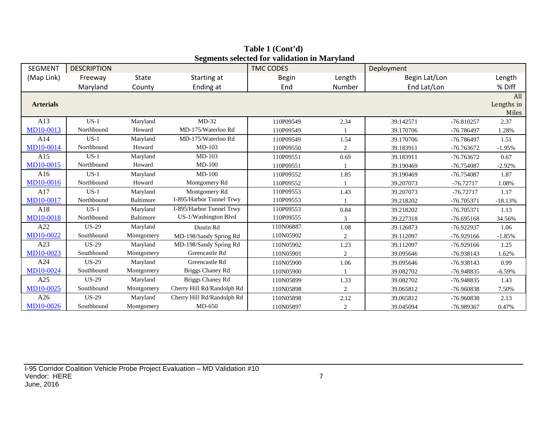| <b>SEGMENT</b>   | <b>DESCRIPTION</b> |            |                            | осдінения ясісскей тог маниаціон ні іман утани<br><b>TMC CODES</b> |        | Deployment    |              |                            |
|------------------|--------------------|------------|----------------------------|--------------------------------------------------------------------|--------|---------------|--------------|----------------------------|
| (Map Link)       | Freeway            | State      | Starting at                | <b>Begin</b>                                                       | Length | Begin Lat/Lon |              | Length                     |
|                  | Maryland           | County     | Ending at                  | End                                                                | Number | End Lat/Lon   |              | % Diff                     |
| <b>Arterials</b> |                    |            |                            |                                                                    |        |               |              | All<br>Lengths in<br>Miles |
| A13              | $US-1$             | Maryland   | $MD-32$                    | 110P09549                                                          | 2.34   | 39.142571     | $-76.810257$ | 2.37                       |
| MD10-0013        | Northbound         | Howard     | MD-175/Waterloo Rd         | 110P09549                                                          |        | 39.170706     | -76.786497   | 1.28%                      |
| A14              | $US-1$             | Maryland   | MD-175/Waterloo Rd         | 110P09549                                                          | 1.54   | 39.170706     | $-76.786497$ | 1.51                       |
| MD10-0014        | Northbound         | Howard     | $MD-103$                   | 110P09550                                                          | 2      | 39.183911     | -76.763672   | $-1.95%$                   |
| A15              | $US-1$             | Maryland   | $MD-103$                   | 110P09551                                                          | 0.69   | 39.183911     | $-76.763672$ | 0.67                       |
| MD10-0015        | Northbound         | Howard     | $MD-100$                   | 110P09551                                                          |        | 39.190469     | -76.754087   | $-2.92%$                   |
| A16              | $US-1$             | Maryland   | $MD-100$                   | 110P09552                                                          | 1.85   | 39.190469     | -76.754087   | 1.87                       |
| MD10-0016        | Northbound         | Howard     | Montgomery Rd              | 110P09552                                                          |        | 39.207073     | $-76.72717$  | 1.08%                      |
| A17              | $US-1$             | Maryland   | Montgomery Rd              | 110P09553                                                          | 1.43   | 39.207073     | $-76.72717$  | 1.17                       |
| MD10-0017        | Northbound         | Baltimore  | I-895/Harbor Tunnel Trwy   | 110P09553                                                          |        | 39.218202     | $-76.705371$ | $-18.13%$                  |
| A18              | $US-1$             | Maryland   | I-895/Harbor Tunnel Trwy   | 110P09553                                                          | 0.84   | 39.218202     | $-76.705371$ | 1.13                       |
| MD10-0018        | Northbound         | Baltimore  | US-1/Washington Blvd       | 110P09555                                                          |        | 39.227318     | $-76.695168$ | 34.56%                     |
| A22              | <b>US-29</b>       | Maryland   | Dustin Rd                  | 110N06887                                                          | 1.08   | 39.126873     | -76.922937   | 1.06                       |
| MD10-0022        | Southbound         | Montgomery | MD-198/Sandy Spring Rd     | 110N05902                                                          | 2      | 39.112097     | $-76.929166$ | $-1.85%$                   |
| A23              | <b>US-29</b>       | Maryland   | MD-198/Sandy Spring Rd     | 110N05902                                                          | 1.23   | 39.112097     | $-76.929166$ | 1.25                       |
| MD10-0023        | Southbound         | Montgomery | Greencastle Rd             | 110N05901                                                          | 2      | 39.095646     | -76.938143   | 1.62%                      |
| A24              | <b>US-29</b>       | Maryland   | Greencastle Rd             | 110N05900                                                          | 1.06   | 39.095646     | -76.938143   | 0.99                       |
| MD10-0024        | Southbound         | Montgomery | Briggs Chaney Rd           | 110N05900                                                          |        | 39.082702     | -76.948835   | $-6.59%$                   |
| A25              | <b>US-29</b>       | Maryland   | Briggs Chaney Rd           | 110N05899                                                          | 1.33   | 39.082702     | $-76.948835$ | 1.43                       |
| MD10-0025        | Southbound         | Montgomery | Cherry Hill Rd/Randolph Rd | 110N05898                                                          | 2      | 39.065812     | -76.960838   | 7.50%                      |
| A26              | <b>US-29</b>       | Maryland   | Cherry Hill Rd/Randolph Rd | 110N05898                                                          | 2.12   | 39.065812     | -76.960838   | 2.13                       |
| MD10-0026        | Southbound         | Montgomery | $MD-650$                   | 110N05897                                                          | 2      | 39.045094     | -76.989367   | 0.47%                      |

**Table 1 (Cont'd) Segments selected for validation in Maryland**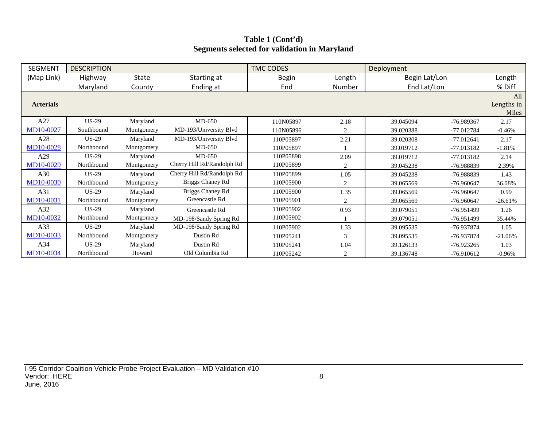#### **Table 1 (Cont'd) Segments selected for validation in Maryland**

| <b>SEGMENT</b>   | <b>DESCRIPTION</b> |            |                            | <b>TMC CODES</b> |        | Deployment    |              |                     |
|------------------|--------------------|------------|----------------------------|------------------|--------|---------------|--------------|---------------------|
| (Map Link)       | Highway            | State      | Starting at                | <b>Begin</b>     | Length | Begin Lat/Lon |              | Length              |
|                  | Maryland           | County     | Ending at                  | End              | Number | End Lat/Lon   |              | % Diff              |
| <b>Arterials</b> |                    |            |                            |                  |        |               |              | All                 |
|                  |                    |            |                            |                  |        |               |              | Lengths in<br>Miles |
| A27              | $US-29$            | Maryland   | $MD-650$                   | 110N05897        | 2.18   | 39.045094     | -76.989367   | 2.17                |
| MD10-0027        | Southbound         | Montgomery | MD-193/University Blvd     | 110N05896        | 2      | 39.020388     | -77.012784   | $-0.46%$            |
| A28              | $US-29$            | Maryland   | MD-193/University Blvd     | 110P05897        | 2.21   | 39.020308     | $-77.012641$ | 2.17                |
| MD10-0028        | Northbound         | Montgomery | $MD-650$                   | 110P05897        |        | 39.019712     | -77.013182   | $-1.81%$            |
| A29              | $US-29$            | Maryland   | $MD-650$                   | 110P05898        | 2.09   | 39.019712     | $-77.013182$ | 2.14                |
| MD10-0029        | Northbound         | Montgomery | Cherry Hill Rd/Randolph Rd | 110P05899        | 2      | 39.045238     | -76.988839   | 2.39%               |
| A30              | $US-29$            | Maryland   | Cherry Hill Rd/Randolph Rd | 110P05899        | 1.05   | 39.045238     | -76.988839   | 1.43                |
| <b>MD10-0030</b> | Northbound         | Montgomery | Briggs Chaney Rd           | 110P05900        | 2      | 39.065569     | $-76.960647$ | 36.08%              |
| A31              | $US-29$            | Maryland   | Briggs Chaney Rd           | 110P05900        | 1.35   | 39.065569     | -76.960647   | 0.99                |
| MD10-0031        | Northbound         | Montgomery | Greencastle Rd             | 110P05901        | 2      | 39.065569     | $-76.960647$ | $-26.61%$           |
| A32              | $US-29$            | Maryland   | Greencastle Rd             | 110P05902        | 0.93   | 39.079051     | $-76.951499$ | 1.26                |
| MD10-0032        | Northbound         | Montgomery | MD-198/Sandy Spring Rd     | 110P05902        |        | 39.079051     | -76.951499   | 35.44%              |
| A33              | $US-29$            | Maryland   | MD-198/Sandy Spring Rd     | 110P05902        | 1.33   | 39.095535     | -76.937874   | 1.05                |
| MD10-0033        | Northbound         | Montgomery | Dustin Rd                  | 110P05241        | 3      | 39.095535     | -76.937874   | $-21.06%$           |
| A34              | $US-29$            | Maryland   | Dustin Rd                  | 110P05241        | 1.04   | 39.126133     | $-76.923265$ | 1.03                |
| MD10-0034        | Northbound         | Howard     | Old Columbia Rd            | 110P05242        | 2      | 39.136748     | -76.910612   | $-0.96%$            |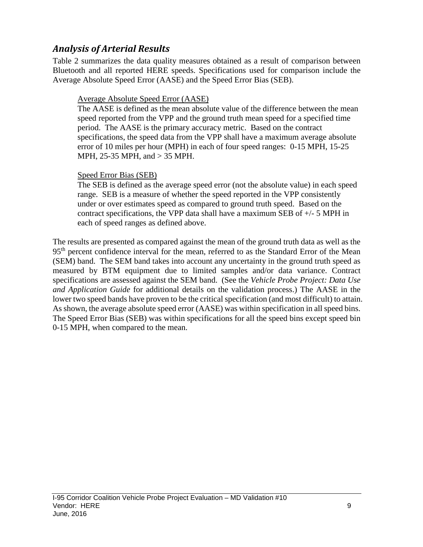### *Analysis of Arterial Results*

Table 2 summarizes the data quality measures obtained as a result of comparison between Bluetooth and all reported HERE speeds. Specifications used for comparison include the Average Absolute Speed Error (AASE) and the Speed Error Bias (SEB).

#### Average Absolute Speed Error (AASE)

The AASE is defined as the mean absolute value of the difference between the mean speed reported from the VPP and the ground truth mean speed for a specified time period. The AASE is the primary accuracy metric. Based on the contract specifications, the speed data from the VPP shall have a maximum average absolute error of 10 miles per hour (MPH) in each of four speed ranges: 0-15 MPH, 15-25 MPH, 25-35 MPH, and > 35 MPH.

#### Speed Error Bias (SEB)

The SEB is defined as the average speed error (not the absolute value) in each speed range. SEB is a measure of whether the speed reported in the VPP consistently under or over estimates speed as compared to ground truth speed. Based on the contract specifications, the VPP data shall have a maximum SEB of  $+/-$  5 MPH in each of speed ranges as defined above.

The results are presented as compared against the mean of the ground truth data as well as the 95<sup>th</sup> percent confidence interval for the mean, referred to as the Standard Error of the Mean (SEM) band. The SEM band takes into account any uncertainty in the ground truth speed as measured by BTM equipment due to limited samples and/or data variance. Contract specifications are assessed against the SEM band. (See the *Vehicle Probe Project: Data Use and Application Guide* for additional details on the validation process.) The AASE in the lower two speed bands have proven to be the critical specification (and most difficult) to attain. As shown, the average absolute speed error (AASE) was within specification in all speed bins. The Speed Error Bias (SEB) was within specifications for all the speed bins except speed bin 0-15 MPH, when compared to the mean.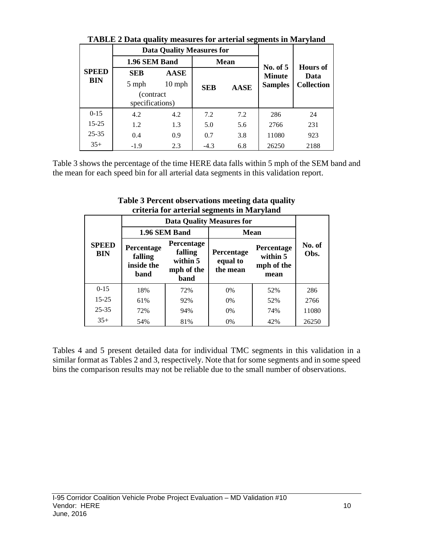|              | TADLE 2 Data quality intasures for alternal segments in Ivial yianu |                                  |            |             |                             |                         |  |  |  |  |  |  |
|--------------|---------------------------------------------------------------------|----------------------------------|------------|-------------|-----------------------------|-------------------------|--|--|--|--|--|--|
|              |                                                                     | <b>Data Quality Measures for</b> |            |             |                             |                         |  |  |  |  |  |  |
|              | 1.96 SEM Band                                                       |                                  |            | <b>Mean</b> |                             |                         |  |  |  |  |  |  |
| <b>SPEED</b> | <b>SEB</b>                                                          | <b>AASE</b>                      |            |             | No. of $5$<br><b>Minute</b> | <b>Hours</b> of<br>Data |  |  |  |  |  |  |
| BIN          | 5 mph                                                               | $10$ mph                         | <b>SEB</b> | <b>AASE</b> | <b>Samples</b>              | <b>Collection</b>       |  |  |  |  |  |  |
|              | (contract)<br>specifications)                                       |                                  |            |             |                             |                         |  |  |  |  |  |  |
| $0-15$       | 4.2                                                                 | 4.2                              | 7.2        | 7.2         | 286                         | 24                      |  |  |  |  |  |  |
| $15 - 25$    | 1.2                                                                 | 1.3                              | 5.0        | 5.6         | 2766                        | 231                     |  |  |  |  |  |  |
| $25 - 35$    | 0.4                                                                 | 0.9                              | 0.7        | 3.8         | 11080                       | 923                     |  |  |  |  |  |  |
| $35+$        | $-1.9$                                                              | 2.3                              | $-4.3$     | 6.8         | 26250                       | 2188                    |  |  |  |  |  |  |

**TABLE 2 Data quality measures for arterial segments in Maryland**

Table 3 shows the percentage of the time HERE data falls within 5 mph of the SEM band and the mean for each speed bin for all arterial data segments in this validation report.

|                            |                                             |                                                         | <b>Data Quality Measures for</b>   |                                              |                |
|----------------------------|---------------------------------------------|---------------------------------------------------------|------------------------------------|----------------------------------------------|----------------|
|                            |                                             | 1.96 SEM Band                                           |                                    | <b>Mean</b>                                  |                |
| <b>SPEED</b><br><b>BIN</b> | Percentage<br>falling<br>inside the<br>band | Percentage<br>falling<br>within 5<br>mph of the<br>band | Percentage<br>equal to<br>the mean | Percentage<br>within 5<br>mph of the<br>mean | No. of<br>Obs. |
| $0 - 15$                   | 18%                                         | 72%                                                     | 0%                                 | 52%                                          | 286            |
| $15 - 25$                  | 61%                                         | 92%                                                     | $0\%$                              | 52%                                          | 2766           |
| $25 - 35$                  | 72%                                         | 94%                                                     | $0\%$                              | 74%                                          | 11080          |
| $35+$                      | 54%                                         | 81%                                                     | 0%                                 | 42%                                          | 26250          |

**Table 3 Percent observations meeting data quality criteria for arterial segments in Maryland**

Tables 4 and 5 present detailed data for individual TMC segments in this validation in a similar format as Tables 2 and 3, respectively. Note that for some segments and in some speed bins the comparison results may not be reliable due to the small number of observations.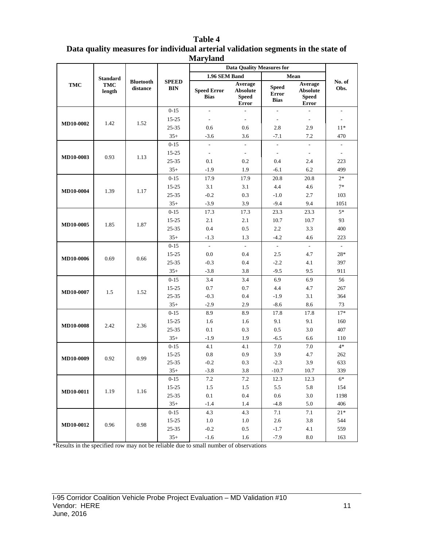|                  | магуини<br><b>Data Quality Measures for</b> |                              |                            |                                                    |                                                            |                                             |                                                                    |                          |      |  |
|------------------|---------------------------------------------|------------------------------|----------------------------|----------------------------------------------------|------------------------------------------------------------|---------------------------------------------|--------------------------------------------------------------------|--------------------------|------|--|
|                  |                                             |                              |                            |                                                    |                                                            |                                             |                                                                    |                          |      |  |
| <b>TMC</b>       | <b>Standard</b><br><b>TMC</b><br>length     | <b>Bluetooth</b><br>distance | <b>SPEED</b><br><b>BIN</b> | 1.96 SEM Band<br><b>Speed Error</b><br><b>Bias</b> | Average<br><b>Absolute</b><br><b>Speed</b><br><b>Error</b> | <b>Speed</b><br><b>Error</b><br><b>Bias</b> | Mean<br>Average<br><b>Absolute</b><br><b>Speed</b><br><b>Error</b> | No. of<br>Obs.           |      |  |
|                  |                                             |                              | $0 - 15$                   | $\overline{\phantom{a}}$                           | $\overline{a}$                                             | $\mathbb{L}$                                | ÷.                                                                 | $\overline{\phantom{a}}$ |      |  |
|                  |                                             |                              | $15 - 25$                  | $\sim$                                             | $\overline{\phantom{a}}$                                   | $\sim$                                      | $\mathbf{r}$                                                       | $\mathbf{r}$             |      |  |
| <b>MD10-0002</b> | 1.42                                        | 1.52                         | 25-35                      | 0.6                                                | 0.6                                                        | 2.8                                         | 2.9                                                                | $11*$                    |      |  |
|                  |                                             |                              | $35+$                      | $-3.6$                                             | 3.6                                                        | $-7.1$                                      | 7.2                                                                | 470                      |      |  |
|                  |                                             |                              | $0 - 15$                   | $\overline{a}$                                     | $\overline{a}$                                             | $\overline{\phantom{a}}$                    | $\overline{a}$                                                     | ÷                        |      |  |
|                  |                                             |                              | $15 - 25$                  | $\overline{\phantom{a}}$                           | $\sim$                                                     | $\sim$                                      | $\sim$                                                             | $\mathcal{L}$            |      |  |
| <b>MD10-0003</b> | 0.93                                        | 1.13                         | 25-35                      | 0.1                                                | 0.2                                                        | 0.4                                         | 2.4                                                                | 223                      |      |  |
|                  |                                             |                              | $35+$                      | $-1.9$                                             | 1.9                                                        | $-6.1$                                      | 6.2                                                                | 499                      |      |  |
|                  |                                             |                              | $0 - 15$                   | 17.9                                               | 17.9                                                       | 20.8                                        | 20.8                                                               | $2*$                     |      |  |
| <b>MD10-0004</b> | 1.39                                        | 1.17                         | 15-25                      | 3.1                                                | 3.1                                                        | 4.4                                         | 4.6                                                                | $7*$                     |      |  |
|                  |                                             |                              | 25-35                      | $-0.2$                                             | 0.3                                                        | $-1.0$                                      | 2.7                                                                | 103                      |      |  |
|                  |                                             |                              | $35+$                      | $-3.9$                                             | 3.9                                                        | $-9.4$                                      | 9.4                                                                | 1051                     |      |  |
|                  |                                             |                              |                            | $0 - 15$                                           | 17.3                                                       | 17.3                                        | 23.3                                                               | 23.3                     | $5*$ |  |
| MD10-0005        | 1.85                                        | 1.87                         | $15 - 25$                  | 2.1                                                | 2.1                                                        | 10.7                                        | 10.7                                                               | 93                       |      |  |
|                  |                                             |                              | 25-35                      | 0.4                                                | 0.5                                                        | 2.2                                         | 3.3                                                                | 400                      |      |  |
|                  |                                             |                              | $35+$                      | $-1.3$                                             | 1.3                                                        | $-4.2$                                      | 4.6                                                                | 223                      |      |  |
|                  |                                             |                              | $0 - 15$                   | $\sim$                                             | $\mathbf{r}$                                               | $\sim$                                      | $\sim$                                                             | $\sim$                   |      |  |
| MD10-0006        | 0.69                                        | 0.66                         | 15-25                      | 0.0                                                | 0.4                                                        | 2.5                                         | 4.7                                                                | $28*$                    |      |  |
|                  |                                             |                              | 25-35                      | $-0.3$                                             | 0.4                                                        | $-2.2$                                      | 4.1                                                                | 397                      |      |  |
|                  |                                             |                              | $35+$                      | $-3.8$                                             | 3.8                                                        | $-9.5$                                      | 9.5                                                                | 911                      |      |  |
|                  |                                             |                              | $0 - 15$                   | 3.4                                                | 3.4                                                        | 6.9                                         | 6.9                                                                | 56                       |      |  |
| MD10-0007        | 1.5                                         | 1.52                         | 15-25                      | 0.7                                                | 0.7                                                        | 4.4                                         | 4.7                                                                | 267                      |      |  |
|                  |                                             |                              | $25 - 35$                  | $-0.3$                                             | 0.4                                                        | $-1.9$                                      | 3.1                                                                | 364                      |      |  |
|                  |                                             |                              | $35+$                      | $-2.9$                                             | 2.9                                                        | $-8.6$                                      | 8.6                                                                | 73                       |      |  |
|                  |                                             |                              | $0 - 15$                   | 8.9                                                | 8.9                                                        | 17.8                                        | 17.8                                                               | $17*$                    |      |  |
| <b>MD10-0008</b> | 2.42                                        | 2.36                         | 15-25                      | 1.6                                                | 1.6                                                        | 9.1                                         | 9.1                                                                | 160                      |      |  |
|                  |                                             |                              | $25 - 35$                  | 0.1                                                | 0.3                                                        | 0.5                                         | 3.0                                                                | 407                      |      |  |
|                  |                                             |                              | $35+$                      | $-1.9$                                             | 1.9                                                        | $-6.5$                                      | 6.6                                                                | 110<br>$4*$              |      |  |
|                  |                                             |                              | $0 - 15$<br>15-25          | 4.1<br>0.8                                         | 4.1<br>0.9                                                 | 7.0<br>3.9                                  | 7.0<br>4.7                                                         | 262                      |      |  |
| MD10-0009        | 0.92                                        | 0.99                         | $25 - 35$                  | $-0.2$                                             | 0.3                                                        | $-2.3$                                      | 3.9                                                                | 633                      |      |  |
|                  |                                             |                              | $35+$                      | $-3.8$                                             | 3.8                                                        | $-10.7$                                     | 10.7                                                               | 339                      |      |  |
|                  |                                             |                              | $0 - 15$                   | 7.2                                                | 7.2                                                        | 12.3                                        | 12.3                                                               | $6*$                     |      |  |
|                  |                                             |                              | 15-25                      | 1.5                                                | 1.5                                                        | 5.5                                         | 5.8                                                                | 154                      |      |  |
| MD10-0011        | 1.19                                        | 1.16                         | $25 - 35$                  | $0.1\,$                                            | $0.4\,$                                                    | 0.6                                         | 3.0                                                                | 1198                     |      |  |
|                  |                                             |                              | $35+$                      | $-1.4$                                             | 1.4                                                        | $-4.8$                                      | 5.0                                                                | 406                      |      |  |
|                  |                                             |                              | $0 - 15$                   | 4.3                                                | 4.3                                                        | 7.1                                         | 7.1                                                                | $21*$                    |      |  |
|                  |                                             |                              | 15-25                      | 1.0                                                | 1.0                                                        | 2.6                                         | 3.8                                                                | 544                      |      |  |
| MD10-0012        | 0.96                                        | 0.98                         | $25 - 35$                  | $-0.2$                                             | $0.5\,$                                                    | $-1.7$                                      | 4.1                                                                | 559                      |      |  |
|                  |                                             |                              | $35+$                      | $-1.6$                                             | 1.6                                                        | $-7.9$                                      | $8.0\,$                                                            | 163                      |      |  |

#### **Table 4 Data quality measures for individual arterial validation segments in the state of Maryland**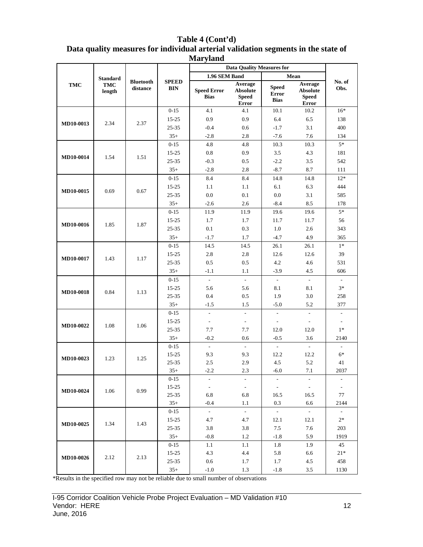| Table 4 (Cont'd)                                                                  |
|-----------------------------------------------------------------------------------|
| Data quality measures for individual arterial validation segments in the state of |
| <b>Maryland</b>                                                                   |

|                  |                 |                              |                            |                                   | <b>Data Quality Measures for</b>                    |                                             |                                                     |                          |     |
|------------------|-----------------|------------------------------|----------------------------|-----------------------------------|-----------------------------------------------------|---------------------------------------------|-----------------------------------------------------|--------------------------|-----|
|                  | <b>Standard</b> |                              |                            | 1.96 SEM Band                     |                                                     |                                             | Mean                                                |                          |     |
| <b>TMC</b>       | TMC<br>length   | <b>Bluetooth</b><br>distance | <b>SPEED</b><br><b>BIN</b> | <b>Speed Error</b><br><b>Bias</b> | Average<br><b>Absolute</b><br><b>Speed</b><br>Error | <b>Speed</b><br><b>Error</b><br><b>Bias</b> | Average<br><b>Absolute</b><br><b>Speed</b><br>Error | No. of<br>Obs.           |     |
|                  |                 |                              | $0 - 15$                   | 4.1                               | 4.1                                                 | 10.1                                        | 10.2                                                | $16*$                    |     |
|                  |                 |                              | $15 - 25$                  | 0.9                               | 0.9                                                 | 6.4                                         | 6.5                                                 | 138                      |     |
| MD10-0013        | 2.34            | 2.37                         | 25-35                      | $-0.4$                            | 0.6                                                 | $-1.7$                                      | 3.1                                                 | 400                      |     |
|                  |                 |                              | $35+$                      | $-2.8$                            | 2.8                                                 | $-7.6$                                      | 7.6                                                 | 134                      |     |
|                  |                 |                              | $0 - 15$                   | 4.8                               | 4.8                                                 | 10.3                                        | 10.3                                                | $5*$                     |     |
|                  |                 |                              | $15 - 25$                  | $0.8\,$                           | 0.9                                                 | 3.5                                         | 4.3                                                 | 181                      |     |
| MD10-0014        | 1.54            | 1.51                         | $25 - 35$                  | $-0.3$                            | 0.5                                                 | $-2.2$                                      | 3.5                                                 | 542                      |     |
|                  |                 |                              | $35+$                      | $-2.8$                            | 2.8                                                 | $-8.7$                                      | 8.7                                                 | 111                      |     |
|                  |                 |                              | $0 - 15$                   | 8.4                               | 8.4                                                 | 14.8                                        | 14.8                                                | $12*$                    |     |
|                  |                 |                              | $15 - 25$                  | 1.1                               | 1.1                                                 | 6.1                                         | 6.3                                                 | 444                      |     |
| MD10-0015        | 0.69            | 0.67                         | 25-35                      | 0.0                               | 0.1                                                 | 0.0                                         | 3.1                                                 | 585                      |     |
|                  |                 |                              | $35+$                      | $-2.6$                            | 2.6                                                 | $-8.4$                                      | 8.5                                                 | 178                      |     |
|                  |                 |                              | $0 - 15$                   | 11.9                              | 11.9                                                | 19.6                                        | 19.6                                                | $5*$                     |     |
|                  |                 |                              | $15 - 25$                  | 1.7                               | 1.7                                                 | 11.7                                        | 11.7                                                | 56                       |     |
| MD10-0016        | 1.85            | 1.87                         | 25-35                      | 0.1                               | 0.3                                                 | 1.0                                         | 2.6                                                 | 343                      |     |
|                  |                 |                              |                            | $35+$                             | $-1.7$                                              | 1.7                                         | $-4.7$                                              | 4.9                      | 365 |
|                  |                 |                              | $0 - 15$                   | 14.5                              | 14.5                                                | 26.1                                        | 26.1                                                | $1*$                     |     |
|                  |                 | 1.17                         | $15 - 25$                  | 2.8                               | 2.8                                                 | 12.6                                        | 12.6                                                | 39                       |     |
| MD10-0017        | 1.43            |                              | 25-35                      | 0.5                               | 0.5                                                 | $4.2\,$                                     | 4.6                                                 | 531                      |     |
|                  |                 |                              | $35+$                      | $-1.1$                            | 1.1                                                 | $-3.9$                                      | 4.5                                                 | 606                      |     |
|                  |                 |                              | $0 - 15$                   | $\overline{\phantom{a}}$          | $\blacksquare$                                      | $\overline{\phantom{a}}$                    | $\overline{\phantom{a}}$                            | $\overline{\phantom{a}}$ |     |
|                  |                 |                              | $15 - 25$                  | 5.6                               | 5.6                                                 | 8.1                                         | 8.1                                                 | $3*$                     |     |
| <b>MD10-0018</b> | 0.84            | 1.13                         | 25-35                      | 0.4                               | 0.5                                                 | 1.9                                         | 3.0                                                 | 258                      |     |
|                  |                 |                              | $35+$                      | $-1.5$                            | 1.5                                                 | $-5.0$                                      | 5.2                                                 | 377                      |     |
|                  |                 |                              | $0 - 15$                   | $\blacksquare$                    | $\overline{\phantom{a}}$                            | $\Box$                                      | $\overline{\phantom{a}}$                            | $\overline{\phantom{a}}$ |     |
|                  |                 |                              | $15 - 25$                  | $\overline{\phantom{a}}$          | $\overline{\phantom{a}}$                            | $\blacksquare$                              | $\overline{\phantom{a}}$                            | $\overline{\phantom{a}}$ |     |
| MD10-0022        | 1.08            | 1.06                         | 25-35                      | 7.7                               | 7.7                                                 | 12.0                                        | 12.0                                                | $1*$                     |     |
|                  |                 |                              | $35+$                      | $-0.2$                            | 0.6                                                 | $-0.5$                                      | 3.6                                                 | 2140                     |     |
|                  |                 |                              | $0 - 15$                   | $\overline{\phantom{a}}$          | $\overline{\phantom{a}}$                            | $\omega$                                    | $\sim$                                              | $\overline{\phantom{a}}$ |     |
|                  |                 |                              | $15 - 25$                  | 9.3                               | 9.3                                                 | 12.2                                        | 12.2                                                | $6^\ast$                 |     |
| MD10-0023        | 1.23            | 1.25                         | 25-35                      | 2.5                               | 2.9                                                 | 4.5                                         | 5.2                                                 | 41                       |     |
|                  |                 |                              | $35+$                      | $-2.2$                            | 2.3                                                 | $-6.0$                                      | 7.1                                                 | 2037                     |     |
|                  |                 |                              | $0-15$                     | $\Box$                            | $\overline{\phantom{a}}$                            | $\overline{\phantom{a}}$                    | $\overline{\phantom{a}}$                            | $\overline{\phantom{a}}$ |     |
|                  |                 |                              | $15 - 25$                  | $\overline{\phantom{a}}$          | $\overline{\phantom{a}}$                            | $\bar{\phantom{a}}$                         | $\sim$                                              | $\overline{\phantom{a}}$ |     |
| MD10-0024        | 1.06            | 0.99                         | $25 - 35$                  | 6.8                               | 6.8                                                 | 16.5                                        | 16.5                                                | 77                       |     |
|                  |                 |                              | $35+$                      | $-0.4$                            | 1.1                                                 | 0.3                                         | 6.6                                                 | 2144                     |     |
|                  |                 |                              | $0-15$                     | $\sim$                            | $\blacksquare$                                      | $\omega$                                    | $\omega$                                            | $\overline{\phantom{a}}$ |     |
|                  |                 |                              | $15 - 25$                  | 4.7                               | 4.7                                                 | 12.1                                        | 12.1                                                | $2*$                     |     |
| MD10-0025        | 1.34            | 1.43                         | $25 - 35$                  | 3.8                               | 3.8                                                 | 7.5                                         | $7.6\,$                                             | 203                      |     |
|                  |                 |                              | $35+$                      | $-0.8$                            | 1.2                                                 | $-1.8$                                      | 5.9                                                 | 1919                     |     |
|                  |                 |                              | $0 - 15$                   | 1.1                               | 1.1                                                 | 1.8                                         | 1.9                                                 | 45                       |     |
|                  |                 |                              | $15 - 25$                  | 4.3                               | 4.4                                                 | 5.8                                         | 6.6                                                 | $21*$                    |     |
| MD10-0026        | 2.12            | 2.13                         | $25 - 35$                  | $0.6\,$                           | 1.7                                                 | 1.7                                         | 4.5                                                 | 458                      |     |
|                  |                 |                              | $35+$                      | $-1.0$                            | 1.3                                                 | $-1.8$                                      | 3.5                                                 | 1130                     |     |
|                  |                 |                              |                            |                                   |                                                     |                                             |                                                     |                          |     |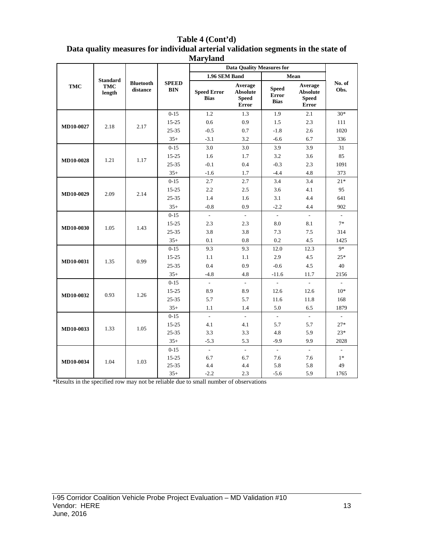| Table 4 (Cont'd)                                                                  |
|-----------------------------------------------------------------------------------|
| Data quality measures for individual arterial validation segments in the state of |
| <b>Maryland</b>                                                                   |

|                  |                                         |                              |                            |                                   | <b>Data Quality Measures for</b>                    |                                             |                                                     |                          |
|------------------|-----------------------------------------|------------------------------|----------------------------|-----------------------------------|-----------------------------------------------------|---------------------------------------------|-----------------------------------------------------|--------------------------|
|                  |                                         |                              |                            | 1.96 SEM Band                     |                                                     |                                             | Mean                                                |                          |
| <b>TMC</b>       | <b>Standard</b><br><b>TMC</b><br>length | <b>Bluetooth</b><br>distance | <b>SPEED</b><br><b>BIN</b> | <b>Speed Error</b><br><b>Bias</b> | Average<br><b>Absolute</b><br><b>Speed</b><br>Error | <b>Speed</b><br><b>Error</b><br><b>Bias</b> | Average<br><b>Absolute</b><br><b>Speed</b><br>Error | No. of<br>Obs.           |
|                  |                                         |                              | $0-15$                     | 1.2                               | 1.3                                                 | 1.9                                         | 2.1                                                 | $30*$                    |
| MD10-0027        | 2.18                                    | 2.17                         | $15 - 25$                  | 0.6                               | 0.9                                                 | 1.5                                         | 2.3                                                 | 111                      |
|                  |                                         |                              | $25 - 35$                  | $-0.5$                            | 0.7                                                 | $-1.8$                                      | 2.6                                                 | 1020                     |
|                  |                                         |                              | $35+$                      | $-3.1$                            | 3.2                                                 | $-6.6$                                      | 6.7                                                 | 336                      |
|                  |                                         |                              | $0-15$                     | 3.0                               | 3.0                                                 | 3.9                                         | 3.9                                                 | 31                       |
|                  |                                         |                              | $15 - 25$                  | 1.6                               | 1.7                                                 | 3.2                                         | 3.6                                                 | 85                       |
| <b>MD10-0028</b> | 1.21                                    | 1.17                         | $25 - 35$                  | $-0.1$                            | 0.4                                                 | $-0.3$                                      | 2.3                                                 | 1091                     |
|                  |                                         |                              | $35+$                      | $-1.6$                            | 1.7                                                 | $-4.4$                                      | 4.8                                                 | 373                      |
|                  | 2.09<br><b>MD10-0029</b>                |                              | $0 - 15$                   | 2.7                               | 2.7                                                 | 3.4                                         | 3.4                                                 | $21*$                    |
|                  |                                         | 2.14                         | $15 - 25$                  | 2.2                               | 2.5                                                 | 3.6                                         | 4.1                                                 | 95                       |
|                  |                                         |                              | $25 - 35$                  | 1.4                               | 1.6                                                 | 3.1                                         | 4.4                                                 | 641                      |
|                  |                                         |                              | $35+$                      | $-0.8$                            | 0.9                                                 | $-2.2$                                      | 4.4                                                 | 902                      |
|                  |                                         |                              | $0 - 15$                   | $\overline{\phantom{a}}$          | $\overline{\phantom{a}}$                            | $\overline{\phantom{a}}$                    | $\sim$                                              | $\overline{\phantom{a}}$ |
|                  |                                         | 1.43                         | $15 - 25$                  | 2.3                               | 2.3                                                 | 8.0                                         | 8.1                                                 | $7*$                     |
| MD10-0030        | 1.05                                    |                              | $25 - 35$                  | 3.8                               | 3.8                                                 | 7.3                                         | 7.5                                                 | 314                      |
|                  |                                         |                              | $35+$                      | 0.1                               | 0.8                                                 | 0.2                                         | 4.5                                                 | 1425                     |
|                  |                                         |                              | $0 - 15$                   | 9.3                               | 9.3                                                 | 12.0                                        | 12.3                                                | $9*$                     |
|                  |                                         |                              | $15 - 25$                  | 1.1                               | 1.1                                                 | 2.9                                         | 4.5                                                 | $25*$                    |
| MD10-0031        | 1.35                                    | 0.99                         | $25 - 35$                  | 0.4                               | 0.9                                                 | $-0.6$                                      | 4.5                                                 | 40                       |
|                  |                                         |                              | $35+$                      | $-4.8$                            | 4.8                                                 | $-11.6$                                     | 11.7                                                | 2156                     |
|                  |                                         |                              | $0 - 15$                   | $\sim$                            | $\mathcal{L}$                                       | $\sim$                                      | $\sim$                                              | $\mathcal{L}$            |
|                  |                                         |                              | $15 - 25$                  | 8.9                               | 8.9                                                 | 12.6                                        | 12.6                                                | $10*$                    |
| <b>MD10-0032</b> | 0.93                                    | 1.26                         | $25 - 35$                  | 5.7                               | 5.7                                                 | 11.6                                        | 11.8                                                | 168                      |
|                  |                                         |                              | $35+$                      | 1.1                               | 1.4                                                 | 5.0                                         | 6.5                                                 | 1879                     |
|                  |                                         |                              | $0 - 15$                   | $\frac{1}{2}$                     | $\overline{\phantom{a}}$                            | $\sim$                                      | $\sim$                                              | $\sim$                   |
|                  |                                         |                              | $15 - 25$                  | 4.1                               | 4.1                                                 | 5.7                                         | 5.7                                                 | $27\,^*$                 |
| MD10-0033        | 1.33                                    | 1.05                         | $25 - 35$                  | 3.3                               | 3.3                                                 | 4.8                                         | 5.9                                                 | $23*$                    |
|                  |                                         |                              | $35+$                      | $-5.3$                            | 5.3                                                 | $-9.9$                                      | 9.9                                                 | 2028                     |
|                  |                                         |                              | $0-15$                     | $\overline{\phantom{a}}$          | $\omega$                                            | $\sim$                                      | $\blacksquare$                                      | $\mathcal{L}$            |
| MD10-0034        | 1.04                                    | 1.03                         | $15 - 25$                  | 6.7                               | 6.7                                                 | 7.6                                         | 7.6                                                 | $1*$                     |
|                  |                                         |                              | $25 - 35$                  | 4.4                               | 4.4                                                 | 5.8                                         | 5.8                                                 | 49                       |
|                  |                                         |                              | $35+$                      | $-2.2$                            | 2.3                                                 | $-5.6$                                      | 5.9                                                 | 1765                     |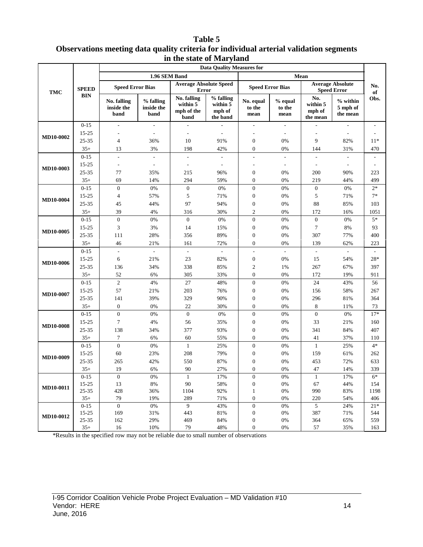#### **Table 5 Observations meeting data quality criteria for individual arterial validation segments in the state of Maryland**

|                  | <b>Data Ouality Measures for</b> |                                   |                                 |                                               |                                             |                                      |                           |                                       |                                               |                          |
|------------------|----------------------------------|-----------------------------------|---------------------------------|-----------------------------------------------|---------------------------------------------|--------------------------------------|---------------------------|---------------------------------------|-----------------------------------------------|--------------------------|
|                  |                                  |                                   | 1.96 SEM Band                   |                                               |                                             |                                      |                           | Mean                                  |                                               |                          |
| TMC              | <b>SPEED</b>                     | <b>Speed Error Bias</b>           |                                 | <b>Average Absolute Speed</b><br><b>Error</b> |                                             |                                      | <b>Speed Error Bias</b>   |                                       | <b>Average Absolute</b><br><b>Speed Error</b> | No.<br>of                |
|                  | <b>BIN</b>                       | No. falling<br>inside the<br>band | % falling<br>inside the<br>band | No. falling<br>within 5<br>mph of the<br>band | % falling<br>within 5<br>mph of<br>the band | No. equal<br>to the<br>mean          | % equal<br>to the<br>mean | No.<br>within 5<br>mph of<br>the mean | % within<br>5 mph of<br>the mean              | Obs.                     |
|                  | $0 - 15$                         | $\overline{\phantom{a}}$          | $\frac{1}{2}$                   |                                               |                                             | ÷,                                   | $\overline{\phantom{a}}$  |                                       | $\overline{a}$                                | $\overline{\phantom{a}}$ |
| MD10-0002        | 15-25                            |                                   |                                 |                                               | $\overline{\phantom{a}}$                    |                                      | $\overline{\phantom{a}}$  |                                       |                                               |                          |
|                  | 25-35                            | 4                                 | 36%                             | 10                                            | 91%                                         | $\mathbf{0}$                         | 0%                        | 9                                     | 82%                                           | $11*$                    |
|                  | $35+$                            | 13                                | 3%                              | 198                                           | 42%                                         | $\mathbf{0}$                         | 0%                        | 144                                   | 31%                                           | 470                      |
|                  | $0 - 15$                         | ÷                                 | ÷.                              |                                               |                                             | L.                                   | $\overline{a}$            |                                       |                                               |                          |
| MD10-0003        | 15-25                            | $\sim$                            | $\overline{\phantom{a}}$        |                                               | $\overline{\phantom{a}}$                    | $\overline{\phantom{a}}$             | $\overline{\phantom{a}}$  | ٠                                     | $\overline{\phantom{a}}$                      |                          |
|                  | 25-35                            | 77                                | 35%                             | 215                                           | 96%                                         | $\mathbf{0}$                         | 0%                        | 200                                   | 90%                                           | 223                      |
|                  | $35+$                            | 69                                | 14%                             | 294                                           | 59%                                         | $\mathbf{0}$                         | 0%                        | 219                                   | 44%                                           | 499                      |
|                  | $0 - 15$                         | $\boldsymbol{0}$                  | $0\%$                           | $\boldsymbol{0}$                              | 0%                                          | $\boldsymbol{0}$                     | $0\%$                     | $\boldsymbol{0}$                      | 0%                                            | $2*$                     |
| <b>MD10-0004</b> | 15-25                            | $\overline{4}$                    | 57%                             | 5                                             | 71%                                         | $\boldsymbol{0}$                     | $0\%$                     | 5                                     | 71%                                           | $7*$                     |
|                  | 25-35                            | 45                                | 44%                             | 97                                            | 94%                                         | $\boldsymbol{0}$                     | $0\%$                     | 88                                    | 85%                                           | 103                      |
|                  | $35+$                            | 39                                | 4%                              | 316                                           | 30%                                         | $\overline{c}$                       | 0%                        | 172                                   | 16%                                           | 1051                     |
| MD10-0005        | $0-15$                           | $\boldsymbol{0}$                  | $0\%$                           | $\boldsymbol{0}$                              | 0%                                          | $\boldsymbol{0}$                     | $0\%$                     | $\boldsymbol{0}$                      | 0%                                            | $5*$                     |
|                  | 15-25                            | 3                                 | 3%                              | 14                                            | 15%                                         | $\boldsymbol{0}$                     | $0\%$                     | 7                                     | 8%                                            | 93                       |
|                  | 25-35                            | 111                               | 28%                             | 356                                           | 89%                                         | $\boldsymbol{0}$                     | 0%                        | 307                                   | 77%                                           | 400                      |
|                  | $35+$                            | 46                                | 21%                             | 161                                           | 72%                                         | $\mathbf{0}$                         | 0%                        | 139                                   | 62%                                           | 223                      |
|                  | $0 - 15$                         | $\overline{\phantom{a}}$          | $\blacksquare$                  | $\overline{\phantom{a}}$                      | $\overline{\phantom{a}}$                    | ÷,                                   | $\overline{\phantom{a}}$  | $\overline{\phantom{a}}$              | $\overline{\phantom{0}}$                      |                          |
| MD10-0006        | 15-25                            | 6                                 | 21%                             | 23                                            | 82%                                         | $\boldsymbol{0}$                     | 0%                        | 15                                    | 54%                                           | 28*                      |
|                  | 25-35                            | 136                               | 34%                             | 338                                           | 85%                                         | $\mathfrak{2}$                       | 1%                        | 267                                   | 67%                                           | 397                      |
|                  | $35+$                            | 52                                | 6%                              | 305                                           | 33%                                         | $\boldsymbol{0}$                     | 0%                        | 172                                   | 19%                                           | 911                      |
|                  | $0 - 15$                         | $\overline{c}$                    | $4\%$                           | 27                                            | 48%                                         | $\boldsymbol{0}$                     | 0%                        | 24                                    | 43%                                           | 56                       |
| <b>MD10-0007</b> | 15-25                            | 57                                | 21%                             | 203                                           | 76%                                         | $\boldsymbol{0}$                     | $0\%$                     | 156                                   | 58%                                           | 267                      |
|                  | 25-35                            | 141                               | 39%                             | 329                                           | 90%                                         | $\boldsymbol{0}$                     | $0\%$                     | 296                                   | 81%                                           | 364                      |
|                  | $35+$                            | $\boldsymbol{0}$                  | 0%                              | $22\,$                                        | 30%                                         | $\boldsymbol{0}$                     | $0\%$                     | 8                                     | 11%                                           | 73                       |
|                  | $0 - 15$                         | $\overline{0}$                    | 0%                              | $\boldsymbol{0}$                              | 0%                                          | $\boldsymbol{0}$                     | 0%                        | $\boldsymbol{0}$                      | 0%                                            | $17*$                    |
| <b>MD10-0008</b> | 15-25                            | $\tau$                            | 4%                              | 56                                            | 35%                                         | $\boldsymbol{0}$                     | $0\%$                     | 33                                    | 21%                                           | 160                      |
|                  | 25-35                            | 138                               | 34%                             | 377                                           | 93%                                         | $\mathbf{0}$                         | $0\%$                     | 341                                   | 84%                                           | 407                      |
|                  | $35+$                            | $\tau$                            | 6%                              | 60                                            | 55%                                         | $\mathbf{0}$                         | 0%                        | 41                                    | 37%                                           | 110                      |
|                  | $0 - 15$                         | $\overline{0}$                    | 0%                              | $\mathbf{1}$                                  | 25%                                         | $\boldsymbol{0}$                     | $0\%$                     | $\mathbf{1}$                          | 25%                                           | $4*$                     |
| MD10-0009        | $15 - 25$                        | 60                                | 23%                             | 208                                           | 79%                                         | $\mathbf{0}$                         | 0%                        | 159                                   | 61%                                           | 262                      |
|                  | 25-35                            | 265                               | 42%                             | 550                                           | 87%                                         | $\mathbf{0}$                         | $0\%$                     | 453                                   | 72%                                           | 633                      |
|                  | $35+$                            | 19                                | 6%                              | $90\,$                                        | 27%                                         | $\mathbf{0}$                         | 0%                        | 47                                    | 14%                                           | 339                      |
|                  | $0 - 15$                         | $\boldsymbol{0}$                  | 0%                              | $\mathbf{1}$                                  | 17%                                         | $\boldsymbol{0}$                     | $0\%$                     | 1                                     | 17%                                           | $6*$                     |
| MD10-0011        | $15 - 25$                        | 13                                | $8\%$                           | 90                                            | 58%                                         | $\boldsymbol{0}$                     | 0%                        | 67                                    | 44%                                           | 154                      |
|                  | $25 - 35$                        | 428<br>79                         | 36%                             | 1104                                          | 92%                                         | $\mathbf{1}$                         | $0\%$                     | 990                                   | 83%                                           | 1198                     |
|                  | $35+$<br>$0 - 15$                | $\boldsymbol{0}$                  | 19%<br>$0\%$                    | 289<br>9                                      | 71%<br>43%                                  | $\boldsymbol{0}$<br>$\boldsymbol{0}$ | $0\%$<br>$0\%$            | 220<br>5                              | 54%<br>24%                                    | 406<br>$21*$             |
|                  | 15-25                            | 169                               | 31%                             | 443                                           | 81%                                         | $\boldsymbol{0}$                     | $0\%$                     | 387                                   | 71%                                           | 544                      |
| MD10-0012        | 25-35                            | 162                               | 29%                             | 469                                           | 84%                                         | $\boldsymbol{0}$                     | $0\%$                     | 364                                   | 65%                                           | 559                      |
|                  | $35+$                            | 16                                | 10%                             | 79                                            | 48%                                         | $\boldsymbol{0}$                     | $0\%$                     | 57                                    | 35%                                           | 163                      |
|                  |                                  |                                   |                                 |                                               |                                             |                                      |                           |                                       |                                               |                          |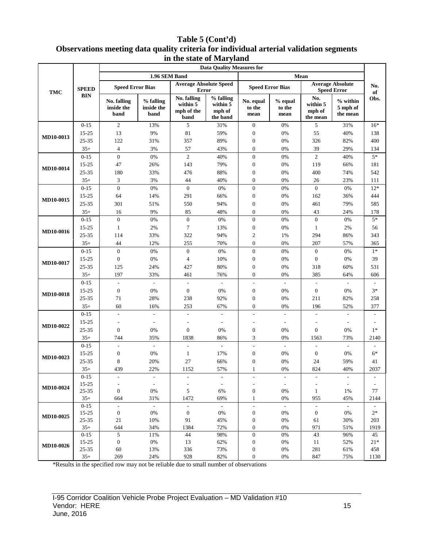#### **Table 5 (Cont'd) Observations meeting data quality criteria for individual arterial validation segments in the state of Maryland**

|                  | <b>SPEED</b><br><b>BIN</b> | <b>Data Quality Measures for</b>  |                                 |                                               |                                             |                                              |                                   |                                               |                                    |                          |
|------------------|----------------------------|-----------------------------------|---------------------------------|-----------------------------------------------|---------------------------------------------|----------------------------------------------|-----------------------------------|-----------------------------------------------|------------------------------------|--------------------------|
| <b>TMC</b>       |                            | 1.96 SEM Band<br>Mean             |                                 |                                               |                                             |                                              |                                   |                                               |                                    |                          |
|                  |                            | <b>Speed Error Bias</b>           |                                 | <b>Average Absolute Speed</b><br><b>Error</b> |                                             | <b>Speed Error Bias</b>                      |                                   | <b>Average Absolute</b><br><b>Speed Error</b> |                                    | No.<br>of                |
|                  |                            | No. falling<br>inside the<br>band | % falling<br>inside the<br>band | No. falling<br>within 5<br>mph of the<br>band | % falling<br>within 5<br>mph of<br>the band | No. equal<br>to the<br>mean                  | % equal<br>to the<br>mean         | No.<br>within 5<br>mph of<br>the mean         | $%$ within<br>5 mph of<br>the mean | Obs.                     |
| MD10-0013        | $0 - 15$                   | $\mathfrak{2}$                    | 13%                             | 5                                             | 31%                                         | $\mathbf{0}$                                 | 0%                                | 5                                             | 31%                                | $16*$                    |
|                  | 15-25                      | 13                                | 9%                              | 81                                            | 59%                                         | $\boldsymbol{0}$                             | 0%                                | 55                                            | 40%                                | 138                      |
|                  | 25-35                      | 122                               | 31%                             | 357                                           | 89%                                         | $\boldsymbol{0}$                             | $0\%$                             | 326                                           | 82%                                | 400                      |
|                  | $35+$                      | $\overline{4}$                    | 3%                              | 57                                            | 43%                                         | $\boldsymbol{0}$                             | 0%                                | 39                                            | 29%                                | 134                      |
|                  | $0 - 15$                   | $\overline{0}$                    | $0\%$                           | $\mathbf{2}$                                  | 40%                                         | $\boldsymbol{0}$                             | $0\%$                             | $\overline{c}$                                | 40%                                | $5*$                     |
| MD10-0014        | 15-25                      | 47                                | 26%                             | 143                                           | 79%                                         | $\boldsymbol{0}$                             | $0\%$                             | 119                                           | 66%                                | 181                      |
|                  | 25-35                      | 180                               | 33%                             | 476                                           | 88%                                         | $\boldsymbol{0}$                             | $0\%$                             | 400                                           | 74%                                | 542                      |
|                  | $35+$                      | 3                                 | 3%                              | 44                                            | 40%                                         | $\boldsymbol{0}$                             | 0%                                | 26                                            | 23%                                | 111                      |
|                  | $0 - 15$                   | $\overline{0}$                    | $0\%$                           | $\boldsymbol{0}$                              | $0\%$                                       | $\boldsymbol{0}$                             | $0\%$                             | $\boldsymbol{0}$                              | $0\%$                              | $12*$                    |
| MD10-0015        | 15-25                      | 64                                | 14%                             | 291                                           | 66%                                         | $\boldsymbol{0}$                             | $0\%$                             | 162                                           | 36%                                | 444                      |
|                  | 25-35                      | 301                               | 51%                             | 550                                           | 94%                                         | $\boldsymbol{0}$                             | 0%                                | 461                                           | 79%                                | 585                      |
|                  | $35+$                      | 16                                | 9%                              | 85                                            | 48%                                         | $\boldsymbol{0}$                             | 0%                                | 43                                            | 24%                                | 178                      |
| MD10-0016        | $0 - 15$                   | $\mathbf{0}$                      | $0\%$                           | $\mathbf{0}$                                  | 0%                                          | $\boldsymbol{0}$                             | $0\%$                             | $\boldsymbol{0}$                              | 0%                                 | $5*$                     |
|                  | 15-25                      | 1                                 | 2%                              | $\boldsymbol{7}$                              | 13%                                         | $\boldsymbol{0}$                             | $0\%$                             | $\mathbf{1}$                                  | 2%                                 | 56                       |
|                  | 25-35                      | 114                               | 33%                             | 322                                           | 94%                                         | $\overline{c}$                               | 1%                                | 294                                           | 86%                                | 343                      |
|                  | $35+$                      | 44                                | 12%                             | 255                                           | 70%                                         | $\boldsymbol{0}$                             | 0%                                | 207                                           | 57%                                | 365                      |
|                  | $0 - 15$                   | $\overline{0}$                    | $0\%$                           | $\mathbf{0}$                                  | 0%                                          | $\boldsymbol{0}$                             | 0%                                | $\boldsymbol{0}$                              | 0%                                 | $1*$                     |
| MD10-0017        | 15-25                      | $\mathbf{0}$                      | 0%                              | $\overline{4}$                                | 10%                                         | $\boldsymbol{0}$                             | $0\%$                             | $\boldsymbol{0}$                              | 0%                                 | 39                       |
|                  | 25-35                      | 125                               | 24%                             | 427                                           | 80%                                         | $\boldsymbol{0}$                             | $0\%$                             | 318                                           | 60%                                | 531                      |
|                  | $35+$                      | 197                               | 33%                             | 461                                           | 76%                                         | $\boldsymbol{0}$                             | 0%                                | 385                                           | 64%                                | 606                      |
|                  | $0 - 15$                   | $\overline{\phantom{a}}$          | $\frac{1}{2}$                   | $\overline{\phantom{a}}$                      | $\overline{\phantom{a}}$                    | $\overline{\phantom{a}}$                     | $\overline{\phantom{a}}$          | $\overline{\phantom{a}}$                      | $\blacksquare$                     |                          |
| <b>MD10-0018</b> | 15-25                      | $\mathbf{0}$                      | $0\%$                           | $\boldsymbol{0}$                              | $0\%$                                       | $\boldsymbol{0}$                             | 0%                                | $\boldsymbol{0}$                              | 0%                                 | $3*$                     |
|                  | 25-35                      | 71                                | 28%                             | 238                                           | 92%                                         | $\boldsymbol{0}$                             | $0\%$                             | 211                                           | 82%                                | 258                      |
|                  | $35+$                      | 60                                | 16%                             | 253                                           | 67%                                         | $\boldsymbol{0}$                             | 0%                                | 196                                           | 52%                                | 377                      |
|                  | $0 - 15$                   | $\overline{a}$                    | $\blacksquare$                  | $\overline{a}$                                | $\overline{\phantom{a}}$                    | $\overline{\phantom{a}}$                     | $\overline{\phantom{a}}$          | ÷                                             | $\overline{\phantom{a}}$           |                          |
| MD10-0022        | 15-25                      |                                   | $\overline{\phantom{a}}$        | $\overline{a}$                                | $\overline{\phantom{a}}$                    | $\overline{\phantom{a}}$                     | $\overline{\phantom{a}}$          |                                               | $\sim$                             |                          |
|                  | 25-35                      | $\boldsymbol{0}$                  | 0%                              | $\mathbf{0}$                                  | $0\%$                                       | $\boldsymbol{0}$                             | 0%                                | $\boldsymbol{0}$                              | 0%                                 | $1*$                     |
|                  | $35+$                      | 744                               | 35%                             | 1838                                          | 86%                                         | 3                                            | 0%                                | 1563                                          | 73%                                | 2140                     |
| MD10-0023        | $0 - 15$                   | $\overline{a}$                    | $\omega$                        | $\overline{a}$                                | $\overline{\phantom{a}}$                    | $\overline{\phantom{a}}$                     | $\overline{\phantom{a}}$          | $\overline{\phantom{a}}$                      | $\mathcal{L}$                      |                          |
|                  | $15 - 25$                  | $\boldsymbol{0}$                  | 0%                              | 1                                             | 17%                                         | $\boldsymbol{0}$                             | 0%                                | $\boldsymbol{0}$                              | 0%                                 | $6*$                     |
|                  | 25-35                      | 8                                 | 20%                             | 27                                            | 66%                                         | $\boldsymbol{0}$                             | 0%                                | 24                                            | 59%                                | 41                       |
|                  | $35+$                      | 439                               | 22%                             | 1152                                          | 57%                                         |                                              | $0\%$                             | 824                                           | 40%                                | 2037                     |
| MD10-0024        | $0 - 15$<br>$15 - 25$      | $\overline{\phantom{a}}$          | $\overline{\phantom{a}}$        | $\overline{\phantom{a}}$                      | $\overline{\phantom{a}}$                    | $\overline{\phantom{a}}$                     | $\overline{\phantom{a}}$          | $\overline{\phantom{a}}$                      | $\overline{\phantom{a}}$           |                          |
|                  | 25-35                      | $\boldsymbol{0}$                  | $\overline{\phantom{a}}$<br>0%  | 5                                             | $\overline{\phantom{a}}$<br>6%              | $\overline{\phantom{a}}$<br>$\boldsymbol{0}$ | $\overline{\phantom{a}}$<br>$0\%$ | $\mathbf{1}$                                  | $\overline{\phantom{a}}$<br>1%     | 77                       |
|                  | $35+$                      | 664                               | 31%                             | 1472                                          | 69%                                         | $\mathbf{1}$                                 | 0%                                | 955                                           | 45%                                | 2144                     |
|                  | $0 - 15$                   | $\overline{\phantom{a}}$          | $\mathcal{L}_{\mathcal{A}}$     | $\overline{\phantom{a}}$                      | $\sim$                                      | $\bar{\phantom{a}}$                          | $\overline{\phantom{a}}$          | $\overline{\phantom{a}}$                      | $\mathbb{L}$                       | $\overline{\phantom{a}}$ |
| MD10-0025        | 15-25                      | $\boldsymbol{0}$                  | $0\%$                           | $\mathbf{0}$                                  | $0\%$                                       | $\boldsymbol{0}$                             | $0\%$                             | $\boldsymbol{0}$                              | 0%                                 | $2*$                     |
|                  | 25-35                      | 21                                | 10%                             | 91                                            | 45%                                         | $\boldsymbol{0}$                             | $0\%$                             | 61                                            | 30%                                | 203                      |
|                  | $35+$                      | 644                               | 34%                             | 1384                                          | 72%                                         | $\boldsymbol{0}$                             | $0\%$                             | 971                                           | 51%                                | 1919                     |
| MD10-0026        | $0 - 15$                   | $\mathfrak{S}$                    | 11%                             | 44                                            | 98%                                         | $\boldsymbol{0}$                             | $0\%$                             | 43                                            | 96%                                | 45                       |
|                  | 15-25                      | $\boldsymbol{0}$                  | $0\%$                           | 13                                            | 62%                                         | $\boldsymbol{0}$                             | $0\%$                             | 11                                            | 52%                                | $21*$                    |
|                  | 25-35                      | 60                                | 13%                             | 336                                           | 73%                                         | $\boldsymbol{0}$                             | $0\%$                             | 281                                           | 61%                                | 458                      |
|                  | $35+$                      | 269                               | 24%                             | 928                                           | 82%                                         | $\mathbf{0}$                                 | 0%                                | 847                                           | 75%                                | 1130                     |